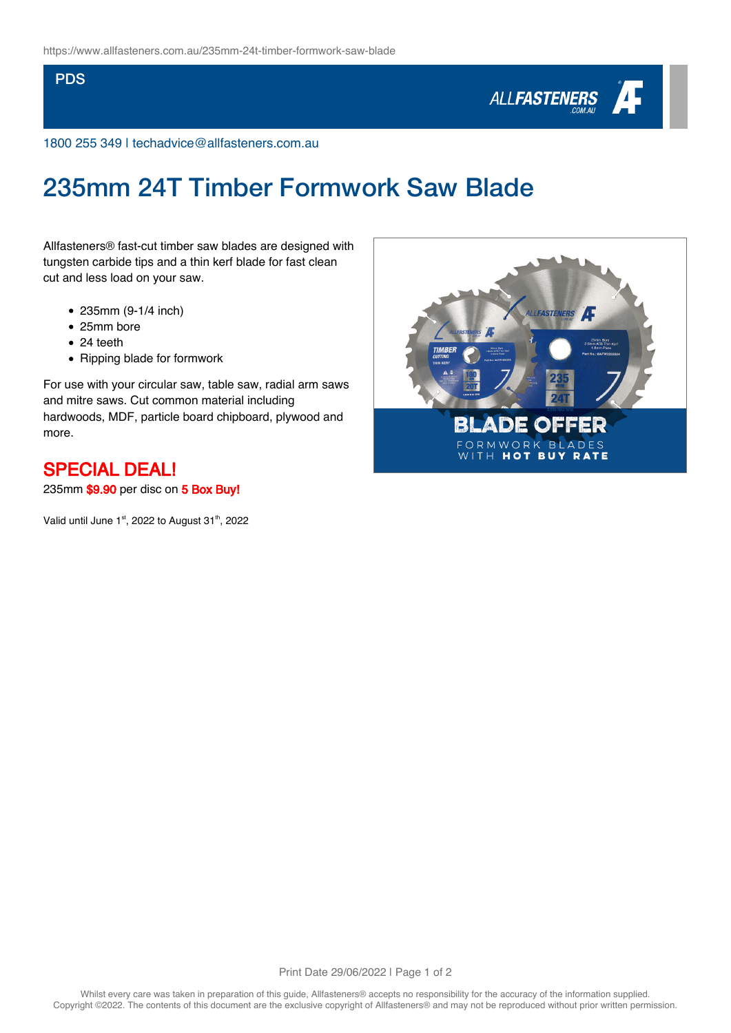### **PDS**



1800 255 349 | techadvice@allfasteners.com.au

# 235mm 24T Timber Formwork Saw Blade

Allfasteners® fast-cut timber saw blades are designed with tungsten carbide tips and a thin kerf blade for fast clean cut and less load on your saw.

- 235mm (9-1/4 inch)
- 25mm bore
- 24 teeth
- Ripping blade for formwork

For use with your circular saw, table saw, radial arm saws and mitre saws. Cut common material including hardwoods, MDF, particle board chipboard, plywood and more.

## SPECIAL DEAL!

235mm \$9.90 per disc on 5 Box Buy!

Valid until June  $1<sup>st</sup>$ , 2022 to August 31<sup>th</sup>, 2022